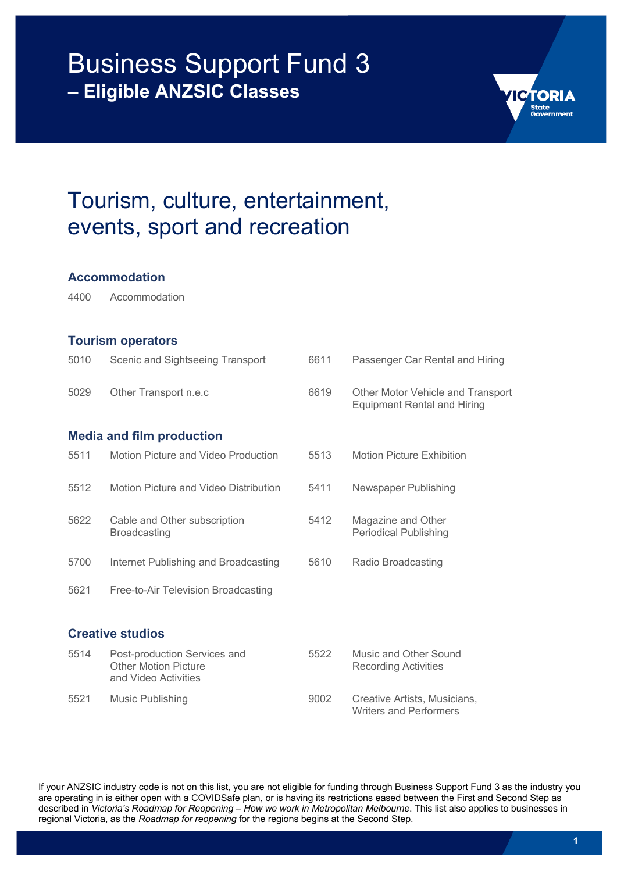

### Tourism, culture, entertainment, events, sport and recreation

#### **Accommodation**

4400 Accommodation

#### **Tourism operators**

| 5010 | Scenic and Sightseeing Transport                                                    | 6611 | Passenger Car Rental and Hiring                                         |
|------|-------------------------------------------------------------------------------------|------|-------------------------------------------------------------------------|
| 5029 | Other Transport n.e.c                                                               | 6619 | Other Motor Vehicle and Transport<br><b>Equipment Rental and Hiring</b> |
|      | <b>Media and film production</b>                                                    |      |                                                                         |
| 5511 | Motion Picture and Video Production                                                 | 5513 | <b>Motion Picture Exhibition</b>                                        |
| 5512 | Motion Picture and Video Distribution                                               | 5411 | Newspaper Publishing                                                    |
| 5622 | Cable and Other subscription<br><b>Broadcasting</b>                                 | 5412 | Magazine and Other<br><b>Periodical Publishing</b>                      |
| 5700 | Internet Publishing and Broadcasting                                                | 5610 | Radio Broadcasting                                                      |
| 5621 | Free-to-Air Television Broadcasting                                                 |      |                                                                         |
|      | <b>Creative studios</b>                                                             |      |                                                                         |
| 5514 | Post-production Services and<br><b>Other Motion Picture</b><br>and Video Activities | 5522 | Music and Other Sound<br><b>Recording Activities</b>                    |
| 5521 | Music Publishing                                                                    | 9002 | Creative Artists, Musicians,<br><b>Writers and Performers</b>           |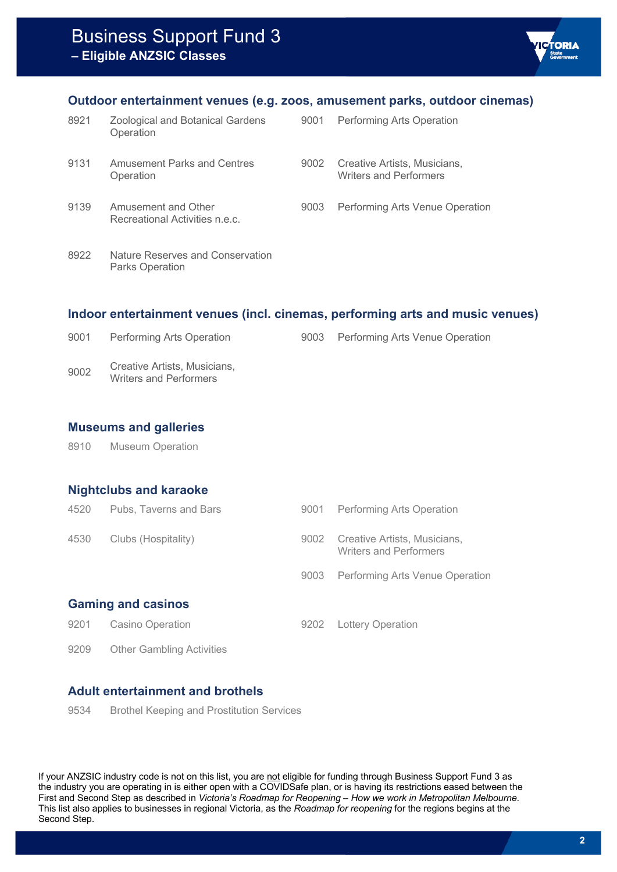#### **Outdoor entertainment venues (e.g. zoos, amusement parks, outdoor cinemas)**

| 8921 | <b>Zoological and Botanical Gardens</b><br>Operation       | 9001 | Performing Arts Operation                                     |
|------|------------------------------------------------------------|------|---------------------------------------------------------------|
| 9131 | <b>Amusement Parks and Centres</b><br>Operation            | 9002 | Creative Artists, Musicians,<br><b>Writers and Performers</b> |
| 9139 | Amusement and Other<br>Recreational Activities n.e.c.      | 9003 | Performing Arts Venue Operation                               |
| 8922 | Nature Reserves and Conservation<br><b>Parks Operation</b> |      |                                                               |

#### **Indoor entertainment venues (incl. cinemas, performing arts and music venues)**

| 9001 | Performing Arts Operation                                     | 9003 Performing Arts Venue Operation |
|------|---------------------------------------------------------------|--------------------------------------|
| 9002 | Creative Artists, Musicians,<br><b>Writers and Performers</b> |                                      |

#### **Museums and galleries**

8910 Museum Operation

#### **Nightclubs and karaoke**

| 4520 | Pubs, Taverns and Bars           | 9001 | <b>Performing Arts Operation</b>                       |
|------|----------------------------------|------|--------------------------------------------------------|
| 4530 | Clubs (Hospitality)              | 9002 | Creative Artists, Musicians,<br>Writers and Performers |
|      |                                  | 9003 | <b>Performing Arts Venue Operation</b>                 |
|      | <b>Gaming and casinos</b>        |      |                                                        |
| 9201 | <b>Casino Operation</b>          | 9202 | <b>Lottery Operation</b>                               |
| 9209 | <b>Other Gambling Activities</b> |      |                                                        |

#### **Adult entertainment and brothels**

9534 Brothel Keeping and Prostitution Services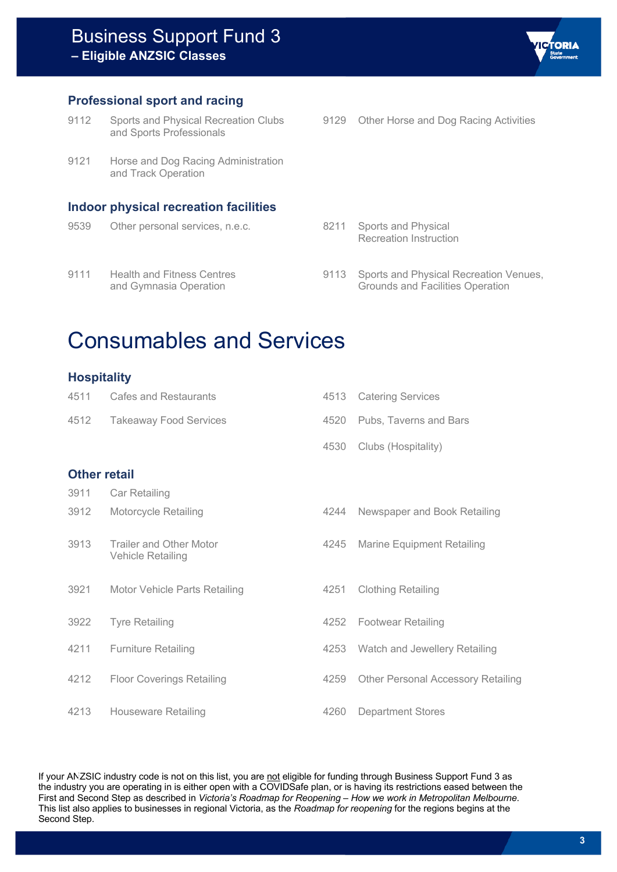

- 9112 Sports and Physical Recreation Clubs and Sports Professionals
- 9121 Horse and Dog Racing Administration and Track Operation

#### **Indoor physical recreation facilities**

9539 Other personal services, n.e.c. 8211 Sports and Physical 9111 Health and Fitness Centres and Gymnasia Operation

9129 Other Horse and Dog Racing Activities

**TORIA** 

- Recreation Instruction
- 9113 Sports and Physical Recreation Venues, Grounds and Facilities Operation

## Consumables and Services

#### **Hospitality**

| 4511                | Cafes and Restaurants                        | 4513 | <b>Catering Services</b>                  |
|---------------------|----------------------------------------------|------|-------------------------------------------|
| 4512                | <b>Takeaway Food Services</b>                | 4520 | Pubs, Taverns and Bars                    |
|                     |                                              | 4530 | Clubs (Hospitality)                       |
| <b>Other retail</b> |                                              |      |                                           |
| 3911                | Car Retailing                                |      |                                           |
| 3912                | Motorcycle Retailing                         | 4244 | Newspaper and Book Retailing              |
| 3913                | Trailer and Other Motor<br>Vehicle Retailing | 4245 | <b>Marine Equipment Retailing</b>         |
| 3921                | Motor Vehicle Parts Retailing                | 4251 | <b>Clothing Retailing</b>                 |
| 3922                | <b>Tyre Retailing</b>                        | 4252 | <b>Footwear Retailing</b>                 |
| 4211                | <b>Furniture Retailing</b>                   | 4253 | Watch and Jewellery Retailing             |
| 4212                | <b>Floor Coverings Retailing</b>             | 4259 | <b>Other Personal Accessory Retailing</b> |
| 4213                | Houseware Retailing                          | 4260 | <b>Department Stores</b>                  |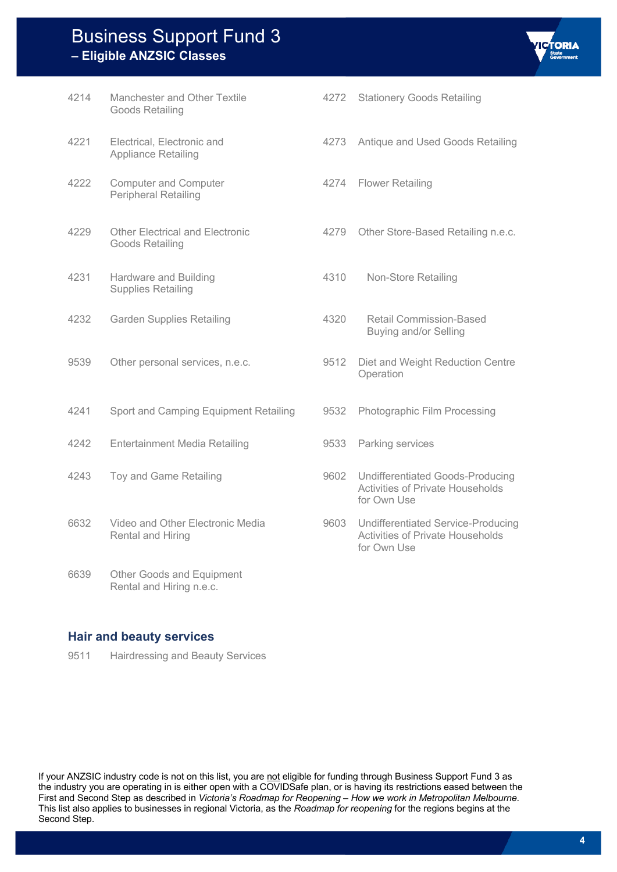| 4214 | Manchester and Other Textile<br>Goods Retailing           | 4272 |
|------|-----------------------------------------------------------|------|
| 4221 | Electrical, Electronic and<br><b>Appliance Retailing</b>  | 4273 |
| 4222 | <b>Computer and Computer</b><br>Peripheral Retailing      | 4274 |
| 4229 | <b>Other Electrical and Electronic</b><br>Goods Retailing | 4279 |
| 4231 | Hardware and Building<br><b>Supplies Retailing</b>        | 4310 |
| 4232 | <b>Garden Supplies Retailing</b>                          | 4320 |
| 9539 | Other personal services, n.e.c.                           | 9512 |
| 4241 | Sport and Camping Equipment Retailing                     | 9532 |
| 4242 | <b>Entertainment Media Retailing</b>                      | 9533 |
| 4243 | Toy and Game Retailing                                    | 9602 |
| 6632 | Video and Other Electronic Media<br>Rental and Hiring     | 9603 |
| 6639 | Other Goods and Equipment<br>Rental and Hiring n.e.c.     |      |

#### **Hair and beauty services**

9511 Hairdressing and Beauty Services

- **Stationery Goods Retailing** 
	- Antique and Used Goods Retailing

**TORIA** 

- **Flower Retailing**
- Other Store-Based Retailing n.e.c.
- Non-Store Retailing
- Retail Commission-Based Buying and/or Selling
- Diet and Weight Reduction Centre **Operation**
- Photographic Film Processing
- Parking services
- Undifferentiated Goods-Producing Activities of Private Households for Own Use
- 9603 Undifferentiated Service-Producing Activities of Private Households for Own Use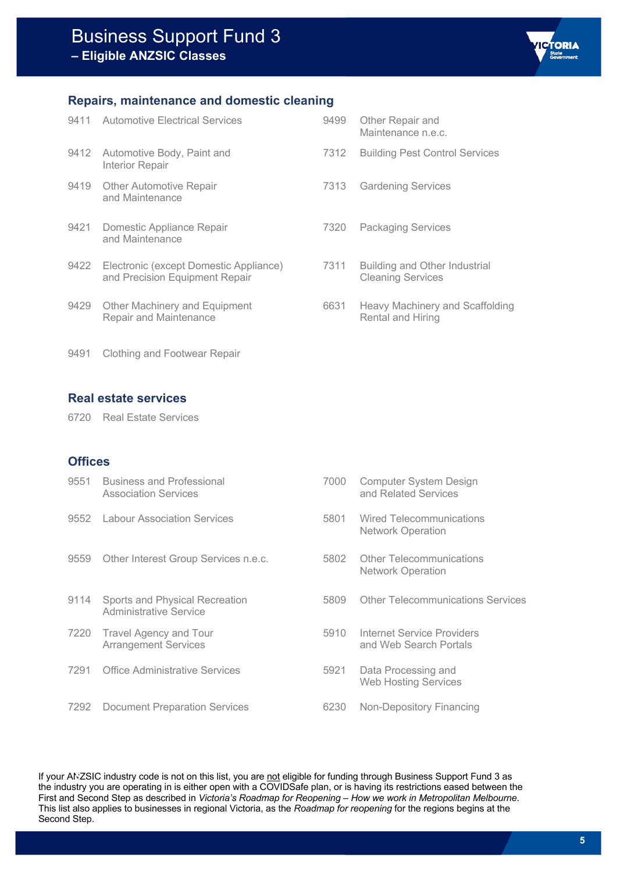

#### **Repairs, maintenance and domestic cleaning**

| 9411 | Automotive Electrical Services                                           | 9499 | Other Repair and<br>Maintenance n.e.c.                      |
|------|--------------------------------------------------------------------------|------|-------------------------------------------------------------|
| 9412 | Automotive Body, Paint and<br><b>Interior Repair</b>                     | 7312 | <b>Building Pest Control Services</b>                       |
| 9419 | <b>Other Automotive Repair</b><br>and Maintenance                        | 7313 | <b>Gardening Services</b>                                   |
| 9421 | Domestic Appliance Repair<br>and Maintenance                             | 7320 | <b>Packaging Services</b>                                   |
| 9422 | Electronic (except Domestic Appliance)<br>and Precision Equipment Repair | 7311 | Building and Other Industrial<br><b>Cleaning Services</b>   |
| 9429 | Other Machinery and Equipment<br>Repair and Maintenance                  | 6631 | <b>Heavy Machinery and Scaffolding</b><br>Rental and Hiring |

9491 Clothing and Footwear Repair

#### **Real estate services**

6720 Real Estate Services

#### **Offices**

| 9551 | <b>Business and Professional</b><br><b>Association Services</b> | 7000 | <b>Computer System Design</b><br>and Related Services |
|------|-----------------------------------------------------------------|------|-------------------------------------------------------|
| 9552 | <b>Labour Association Services</b>                              | 5801 | Wired Telecommunications<br>Network Operation         |
| 9559 | Other Interest Group Services n.e.c.                            | 5802 | <b>Other Telecommunications</b><br>Network Operation  |
| 9114 | Sports and Physical Recreation<br>Administrative Service        | 5809 | <b>Other Telecommunications Services</b>              |
| 7220 | Travel Agency and Tour<br><b>Arrangement Services</b>           | 5910 | Internet Service Providers<br>and Web Search Portals  |
| 7291 | Office Administrative Services                                  | 5921 | Data Processing and<br><b>Web Hosting Services</b>    |
| 7292 | <b>Document Preparation Services</b>                            | 6230 | Non-Depository Financing                              |
|      |                                                                 |      |                                                       |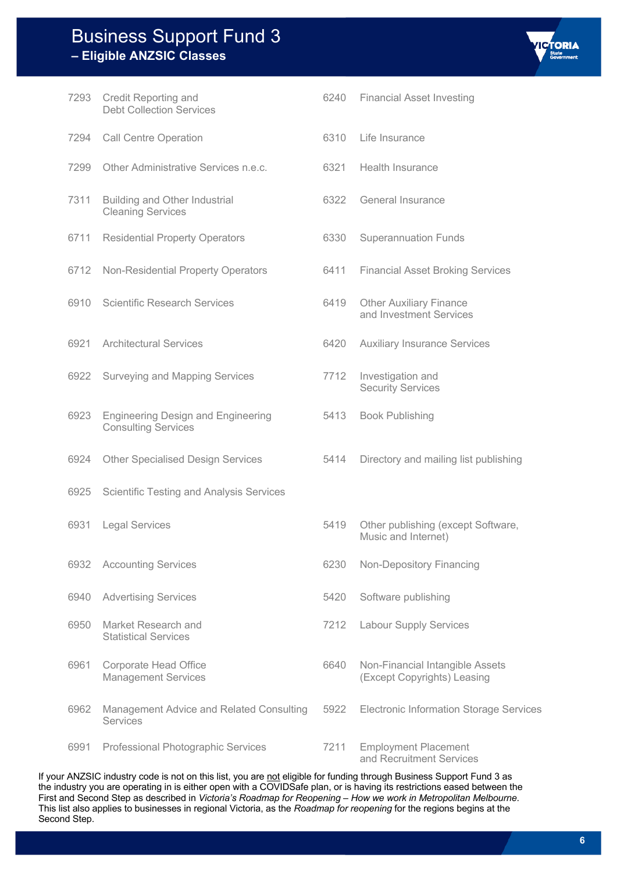| 7293 | Credit Reporting and<br><b>Debt Collection Services</b>                 | 6240 | <b>Financial Asset Investing</b>                               |
|------|-------------------------------------------------------------------------|------|----------------------------------------------------------------|
| 7294 | <b>Call Centre Operation</b>                                            | 6310 | Life Insurance                                                 |
| 7299 | Other Administrative Services n.e.c.                                    | 6321 | <b>Health Insurance</b>                                        |
| 7311 | Building and Other Industrial<br><b>Cleaning Services</b>               | 6322 | General Insurance                                              |
| 6711 | <b>Residential Property Operators</b>                                   | 6330 | <b>Superannuation Funds</b>                                    |
| 6712 | Non-Residential Property Operators                                      | 6411 | <b>Financial Asset Broking Services</b>                        |
| 6910 | <b>Scientific Research Services</b>                                     | 6419 | <b>Other Auxiliary Finance</b><br>and Investment Services      |
| 6921 | <b>Architectural Services</b>                                           | 6420 | <b>Auxiliary Insurance Services</b>                            |
| 6922 | Surveying and Mapping Services                                          | 7712 | Investigation and<br><b>Security Services</b>                  |
| 6923 | <b>Engineering Design and Engineering</b><br><b>Consulting Services</b> | 5413 | <b>Book Publishing</b>                                         |
| 6924 | <b>Other Specialised Design Services</b>                                | 5414 | Directory and mailing list publishing                          |
| 6925 | Scientific Testing and Analysis Services                                |      |                                                                |
| 6931 | <b>Legal Services</b>                                                   | 5419 | Other publishing (except Software,<br>Music and Internet)      |
| 6932 | <b>Accounting Services</b>                                              | 6230 | Non-Depository Financing                                       |
| 6940 | <b>Advertising Services</b>                                             | 5420 | Software publishing                                            |
| 6950 | Market Research and<br><b>Statistical Services</b>                      | 7212 | <b>Labour Supply Services</b>                                  |
| 6961 | <b>Corporate Head Office</b><br><b>Management Services</b>              | 6640 | Non-Financial Intangible Assets<br>(Except Copyrights) Leasing |
| 6962 | Management Advice and Related Consulting<br>Services                    | 5922 | <b>Electronic Information Storage Services</b>                 |
| 6991 | Professional Photographic Services                                      | 7211 | <b>Employment Placement</b>                                    |

and Recruitment Services

If your ANZSIC industry code is not on this list, you are not eligible for funding through Business Support Fund 3 as the industry you are operating in is either open with a COVIDSafe plan, or is having its restrictions eased between the First and Second Step as described in *Victoria's Roadmap for Reopening – How we work in Metropolitan Melbourne*. This list also applies to businesses in regional Victoria, as the *Roadmap for reopening* for the regions begins at the Second Step.

**ICTORIA** 

- 
- 

- 
- 
-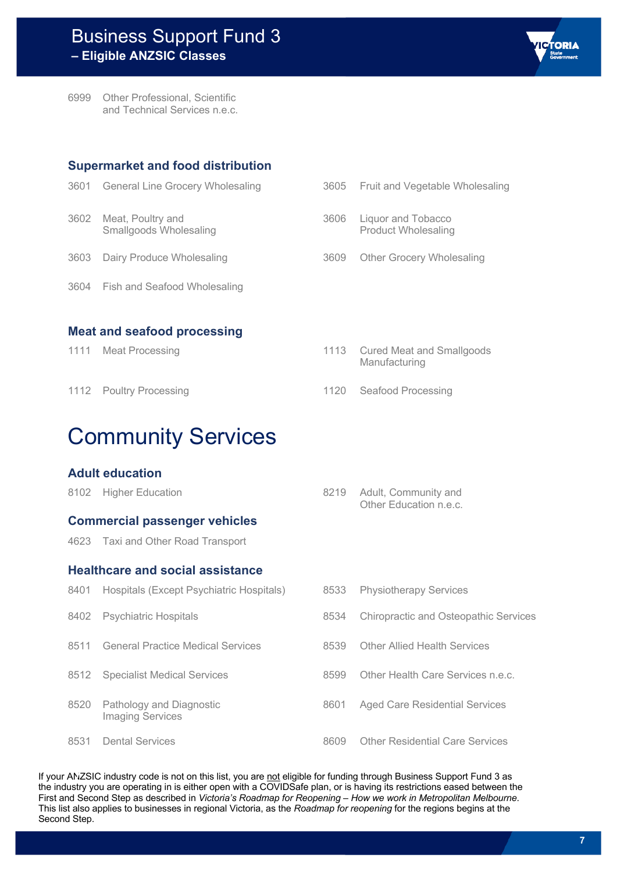

6999 Other Professional, Scientific and Technical Services n.e.c.

#### **Supermarket and food distribution**

|      | 3601 General Line Grocery Wholesaling       |
|------|---------------------------------------------|
| 3602 | Meat, Poultry and<br>Smallgoods Wholesaling |
|      | 3603 Dairy Produce Wholesaling              |
|      | 3604 Fish and Seafood Wholesaling           |

- 3605 Fruit and Vegetable Wholesaling 3606 Liquor and Tobacco Product Wholesaling
- 3609 Other Grocery Wholesaling

**Meat and seafood processing**

| 1111<br><b>Meat Processing</b> |  |
|--------------------------------|--|
|--------------------------------|--|

#### 1113 Cured Meat and Smallgoods Manufacturing

1112 Poultry Processing 2002 Control 1120 Seafood Processing

## Community Services

#### **Adult education**

| <b>Commercial passenger vehicles</b> | Other Education n.e.c.    |
|--------------------------------------|---------------------------|
| 8102 Higher Education                | 8219 Adult, Community and |

4623 Taxi and Other Road Transport

#### **Healthcare and social assistance**

| 8401 | Hospitals (Except Psychiatric Hospitals)            | 8533 | <b>Physiotherapy Services</b>                |
|------|-----------------------------------------------------|------|----------------------------------------------|
| 8402 | <b>Psychiatric Hospitals</b>                        | 8534 | <b>Chiropractic and Osteopathic Services</b> |
| 8511 | <b>General Practice Medical Services</b>            | 8539 | <b>Other Allied Health Services</b>          |
|      | 8512 Specialist Medical Services                    | 8599 | Other Health Care Services n.e.c.            |
| 8520 | Pathology and Diagnostic<br><b>Imaging Services</b> | 8601 | <b>Aged Care Residential Services</b>        |
| 8531 | <b>Dental Services</b>                              | 8609 | <b>Other Residential Care Services</b>       |